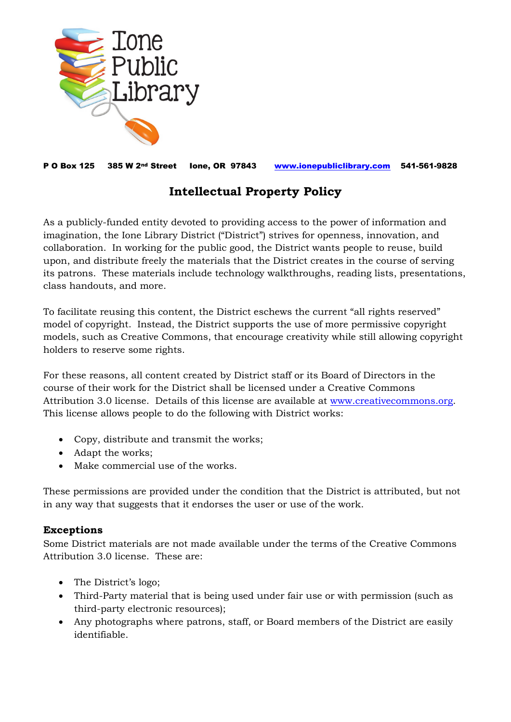

P O Box 125 385 W 2nd Street Ione, OR 97843 [www.ionepubliclibrary.com](http://www.ionepubliclibrary.com/) 541-561-9828

## **Intellectual Property Policy**

As a publicly-funded entity devoted to providing access to the power of information and imagination, the Ione Library District ("District") strives for openness, innovation, and collaboration. In working for the public good, the District wants people to reuse, build upon, and distribute freely the materials that the District creates in the course of serving its patrons. These materials include technology walkthroughs, reading lists, presentations, class handouts, and more.

To facilitate reusing this content, the District eschews the current "all rights reserved" model of copyright. Instead, the District supports the use of more permissive copyright models, such as Creative Commons, that encourage creativity while still allowing copyright holders to reserve some rights.

For these reasons, all content created by District staff or its Board of Directors in the course of their work for the District shall be licensed under a Creative Commons Attribution 3.0 license. Details of this license are available at [www.creativecommons.org.](http://www.creativecommons.org/) This license allows people to do the following with District works:

- Copy, distribute and transmit the works;
- Adapt the works;
- Make commercial use of the works.

These permissions are provided under the condition that the District is attributed, but not in any way that suggests that it endorses the user or use of the work.

## **Exceptions**

Some District materials are not made available under the terms of the Creative Commons Attribution 3.0 license. These are:

- The District's logo;
- Third-Party material that is being used under fair use or with permission (such as third-party electronic resources);
- Any photographs where patrons, staff, or Board members of the District are easily identifiable.